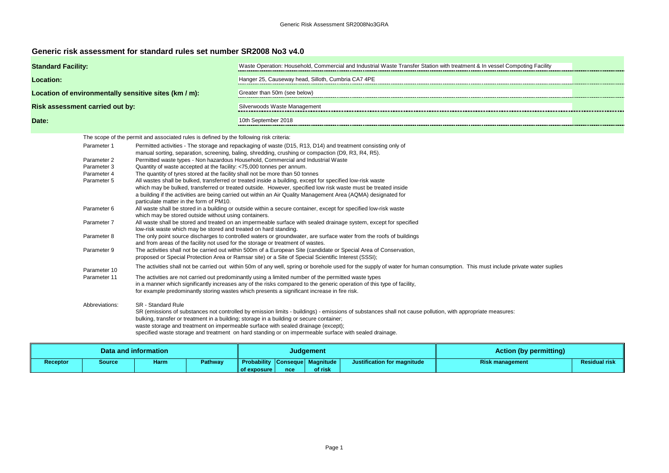| <b>Compoting Facility</b> |  |
|---------------------------|--|
|                           |  |
|                           |  |
|                           |  |
|                           |  |
|                           |  |
|                           |  |

## **Generic risk assessment for standard rules set number SR2008 No3 v4.0**

| Hanger 25, Causeway head, Silloth, Cumbria CA7 4PE<br><b>Location:</b><br>Location of environmentally sensitive sites (km / m):<br>Greater than 50m (see below)<br><b>Risk assessment carried out by:</b><br>Silverwoods Waste Management<br>10th September 2018<br>Date:<br>The scope of the permit and associated rules is defined by the following risk criteria:<br>Parameter 1<br>Permitted activities - The storage and repackaging of waste (D15, R13, D14) and treatment consisting only of<br>manual sorting, separation, screening, baling, shredding, crushing or compaction (D9, R3, R4, R5).<br>Permitted waste types - Non hazardous Household, Commercial and Industrial Waste<br>Parameter 2<br>Quantity of waste accepted at the facility: <75,000 tonnes per annum.<br>Parameter 3<br>The quantity of tyres stored at the facility shall not be more than 50 tonnes<br>Parameter 4<br>All wastes shall be bulked, transferred or treated inside a building, except for specified low-risk waste<br>Parameter 5<br>which may be bulked, transferred or treated outside. However, specified low risk waste must be treated inside<br>a building if the activities are being carried out within an Air Quality Management Area (AQMA) designated for<br>particulate matter in the form of PM10. | Waste Operation: Household, Commercial and Industrial Waste Transfer Station with treatment & In vessel Compoting Facility |  |  |  |  |  |
|----------------------------------------------------------------------------------------------------------------------------------------------------------------------------------------------------------------------------------------------------------------------------------------------------------------------------------------------------------------------------------------------------------------------------------------------------------------------------------------------------------------------------------------------------------------------------------------------------------------------------------------------------------------------------------------------------------------------------------------------------------------------------------------------------------------------------------------------------------------------------------------------------------------------------------------------------------------------------------------------------------------------------------------------------------------------------------------------------------------------------------------------------------------------------------------------------------------------------------------------------------------------------------------------------------------|----------------------------------------------------------------------------------------------------------------------------|--|--|--|--|--|
|                                                                                                                                                                                                                                                                                                                                                                                                                                                                                                                                                                                                                                                                                                                                                                                                                                                                                                                                                                                                                                                                                                                                                                                                                                                                                                                |                                                                                                                            |  |  |  |  |  |
|                                                                                                                                                                                                                                                                                                                                                                                                                                                                                                                                                                                                                                                                                                                                                                                                                                                                                                                                                                                                                                                                                                                                                                                                                                                                                                                |                                                                                                                            |  |  |  |  |  |
|                                                                                                                                                                                                                                                                                                                                                                                                                                                                                                                                                                                                                                                                                                                                                                                                                                                                                                                                                                                                                                                                                                                                                                                                                                                                                                                |                                                                                                                            |  |  |  |  |  |
|                                                                                                                                                                                                                                                                                                                                                                                                                                                                                                                                                                                                                                                                                                                                                                                                                                                                                                                                                                                                                                                                                                                                                                                                                                                                                                                |                                                                                                                            |  |  |  |  |  |
|                                                                                                                                                                                                                                                                                                                                                                                                                                                                                                                                                                                                                                                                                                                                                                                                                                                                                                                                                                                                                                                                                                                                                                                                                                                                                                                |                                                                                                                            |  |  |  |  |  |
|                                                                                                                                                                                                                                                                                                                                                                                                                                                                                                                                                                                                                                                                                                                                                                                                                                                                                                                                                                                                                                                                                                                                                                                                                                                                                                                |                                                                                                                            |  |  |  |  |  |
|                                                                                                                                                                                                                                                                                                                                                                                                                                                                                                                                                                                                                                                                                                                                                                                                                                                                                                                                                                                                                                                                                                                                                                                                                                                                                                                |                                                                                                                            |  |  |  |  |  |
|                                                                                                                                                                                                                                                                                                                                                                                                                                                                                                                                                                                                                                                                                                                                                                                                                                                                                                                                                                                                                                                                                                                                                                                                                                                                                                                |                                                                                                                            |  |  |  |  |  |
| All waste shall be stored in a building or outside within a secure container, except for specified low-risk waste<br>Parameter 6<br>which may be stored outside without using containers.                                                                                                                                                                                                                                                                                                                                                                                                                                                                                                                                                                                                                                                                                                                                                                                                                                                                                                                                                                                                                                                                                                                      |                                                                                                                            |  |  |  |  |  |
| All waste shall be stored and treated on an impermeable surface with sealed drainage system, except for specified<br>Parameter 7<br>low-risk waste which may be stored and treated on hard standing.                                                                                                                                                                                                                                                                                                                                                                                                                                                                                                                                                                                                                                                                                                                                                                                                                                                                                                                                                                                                                                                                                                           |                                                                                                                            |  |  |  |  |  |
| Parameter 8<br>The only point source discharges to controlled waters or groundwater, are surface water from the roofs of buildings<br>and from areas of the facility not used for the storage or treatment of wastes.                                                                                                                                                                                                                                                                                                                                                                                                                                                                                                                                                                                                                                                                                                                                                                                                                                                                                                                                                                                                                                                                                          |                                                                                                                            |  |  |  |  |  |
| Parameter 9<br>The activities shall not be carried out within 500m of a European Site (candidate or Special Area of Conservation,<br>proposed or Special Protection Area or Ramsar site) or a Site of Special Scientific Interest (SSSI);                                                                                                                                                                                                                                                                                                                                                                                                                                                                                                                                                                                                                                                                                                                                                                                                                                                                                                                                                                                                                                                                      |                                                                                                                            |  |  |  |  |  |
| The activities shall not be carried out within 50m of any well, spring or borehole used for the supply of water for human consumption. This must include private water suplies<br>Parameter 10                                                                                                                                                                                                                                                                                                                                                                                                                                                                                                                                                                                                                                                                                                                                                                                                                                                                                                                                                                                                                                                                                                                 |                                                                                                                            |  |  |  |  |  |
| Parameter 11<br>The activities are not carried out predominantly using a limited number of the permitted waste types<br>in a manner which significantly increases any of the risks compared to the generic operation of this type of facility,<br>for example predominantly storing wastes which presents a significant increase in fire risk.                                                                                                                                                                                                                                                                                                                                                                                                                                                                                                                                                                                                                                                                                                                                                                                                                                                                                                                                                                 |                                                                                                                            |  |  |  |  |  |
| <b>SR</b> - Standard Rule<br>Abbreviations:<br>SR (emissions of substances not controlled by emission limits - buildings) - emissions of substances shall not cause pollution, with appropriate measures:<br>bulking, transfer or treatment in a building; storage in a building or secure container;<br>waste storage and treatment on impermeable surface with sealed drainage (except);<br>specified waste storage and treatment on hard standing or on impermeable surface with sealed drainage.                                                                                                                                                                                                                                                                                                                                                                                                                                                                                                                                                                                                                                                                                                                                                                                                           |                                                                                                                            |  |  |  |  |  |

| Data and information |        |             |                |                                                         |     | <b>Judgement</b> |                             | <b>Action (by permitting)</b> |                      |
|----------------------|--------|-------------|----------------|---------------------------------------------------------|-----|------------------|-----------------------------|-------------------------------|----------------------|
| Receptor             | Source | <b>Harm</b> | <b>Pathway</b> | <b>Probability Conseque Magnitude</b><br>ll of exposure | nce | of risk          | Justification for magnitude | <b>Risk management</b>        | <b>Residual risk</b> |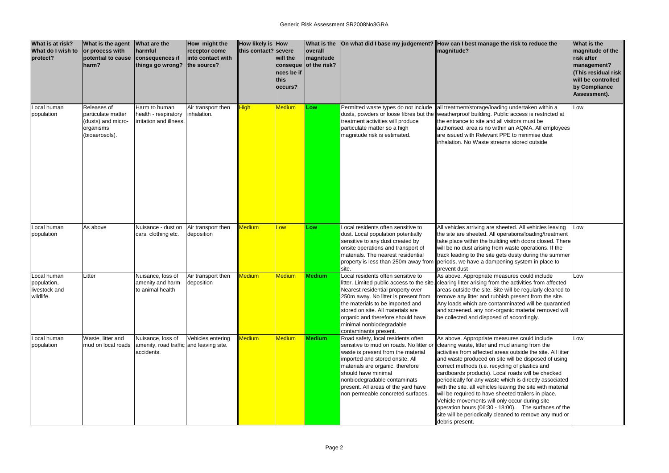| What is at risk?<br>What do I wish to<br>protect?        | <b>What is the agent</b><br>or process with<br>potential to cause<br>harm?             | <b>What are the</b><br>harmful<br>consequences if<br>things go wrong?      | How might the<br>receptor come<br>into contact with<br>the source? | How likely is How<br>this contact? severe | will the<br>nces be if<br>this<br> occurs? | <b>What is the</b><br>overall<br><b>magnitude</b><br>conseque of the risk? |                                                                                                                                                                                                                                                                                    | On what did I base my judgement? How can I best manage the risk to reduce the<br>magnitude?                                                                                                                                                                                                                                                                                                                                                                                                                                                                                                                                                                                                                                                  |
|----------------------------------------------------------|----------------------------------------------------------------------------------------|----------------------------------------------------------------------------|--------------------------------------------------------------------|-------------------------------------------|--------------------------------------------|----------------------------------------------------------------------------|------------------------------------------------------------------------------------------------------------------------------------------------------------------------------------------------------------------------------------------------------------------------------------|----------------------------------------------------------------------------------------------------------------------------------------------------------------------------------------------------------------------------------------------------------------------------------------------------------------------------------------------------------------------------------------------------------------------------------------------------------------------------------------------------------------------------------------------------------------------------------------------------------------------------------------------------------------------------------------------------------------------------------------------|
| Local human<br>population                                | Releases of<br>particulate matter<br>(dusts) and micro-<br>organisms<br>(bioaerosols). | Harm to human<br>health - respiratory<br>irritation and illness.           | Air transport then<br>inhalation.                                  | <b>High</b>                               | <b>Medium</b>                              | Low                                                                        | Permitted waste types do not include<br>treatment activities will produce<br>particulate matter so a high<br>magnitude risk is estimated.                                                                                                                                          | all treatment/storage/loading undertaken within a<br>dusts, powders or loose fibres but the weatherproof building. Public access is restricted at<br>the entrance to site and all visitors must be<br>authorised. area is no within an AQMA. All employees<br>are issued with Relevant PPE to minimise dust<br>inhalation. No Waste streams stored outside                                                                                                                                                                                                                                                                                                                                                                                   |
| ocal human<br>population                                 | As above                                                                               | Nuisance - dust on<br>cars, clothing etc.                                  | Air transport then<br>deposition                                   | Medium                                    | Low                                        | Low                                                                        | Local residents often sensitive to<br>dust. Local population potentially<br>sensitive to any dust created by<br>onsite operations and transport of<br>materials. The nearest residential<br>property is less than 250m away from<br>site.                                          | All vehicles arriving are sheeted. All vehicles leaving<br>the site are sheeted. All operations/loading/treatment<br>take place within the building with doors closed. There<br>will be no dust arising from waste operations. If the<br>track leading to the site gets dusty during the summer<br>periods, we have a dampening system in place to<br>prevent dust                                                                                                                                                                                                                                                                                                                                                                           |
| Local human<br>population,<br>livestock and<br>wildlife. | _itter                                                                                 | Nuisance, loss of<br>amenity and harm<br>to animal health                  | Air transport then<br>deposition                                   | Medium                                    | <b>Medium</b>                              | <b>Medium</b>                                                              | Local residents often sensitive to<br>Nearest residential property over<br>250m away. No litter is present from<br>the materials to be imported and<br>stored on site. All materials are<br>organic and therefore should have<br>minimal nonbiodegradable<br>contaminants present. | As above. Appropriate measures could include<br>litter. Limited public access to the site. clearing litter arising from the activities from affected<br>areas outside the site. Site will be regularly cleaned to<br>remove any litter and rubbish present from the site.<br>Any loads which are contanminated will be quarantied<br>and screened. any non-organic material removed will<br>be collected and disposed of accordingly.                                                                                                                                                                                                                                                                                                        |
| Local human<br>population                                | Waste, litter and<br>mud on local roads                                                | Nuisance, loss of<br>amenity, road traffic and leaving site.<br>accidents. | Vehicles entering                                                  | <b>Medium</b>                             | <b>Medium</b>                              | Medium                                                                     | Road safety, local residents often<br>waste is present from the material<br>imported and stored onsite. All<br>materials are organic, therefore<br>should have minimal<br>nonbiodegradable contaminats<br>present. All areas of the yard have<br>non permeable concreted surfaces. | As above. Appropriate measures could include<br>sensitive to mud on roads. No litter or clearing waste, litter and mud arising from the<br>activities from affected areas outside the site. All litter<br>and waste produced on site will be disposed of using<br>correct methods (i.e. recycling of plastics and<br>cardboards products). Local roads will be checked<br>periodically for any waste which is directly associated<br>with the site. all vehicles leaving the site with material<br>will be required to have sheeted trailers in place.<br>Vehicle movements will only occur during site<br>operation hours (06:30 - 18:00). The surfaces of the<br>site will be periodically cleaned to remove any mud or<br>debris present. |

| e risk to reduce the                                                                                                                                                                                                                                                                                                               | What is the<br>magnitude of the<br>risk after<br>management?<br>(This residual risk<br>will be controlled<br>by Compliance<br>Assessment). |
|------------------------------------------------------------------------------------------------------------------------------------------------------------------------------------------------------------------------------------------------------------------------------------------------------------------------------------|--------------------------------------------------------------------------------------------------------------------------------------------|
| g undertaken within a<br>c access is restricted at<br>isitors must be<br>an AQMA. All employees<br>E to minimise dust<br>ns stored outside                                                                                                                                                                                         | Low                                                                                                                                        |
| eted. All vehicles leaving<br>rations/loading/treatment<br>g with doors closed. There<br>waste operations. If the<br>dusty during the summer<br>ing system in place to                                                                                                                                                             | Low                                                                                                                                        |
| sures could include<br>e activities from affected<br>will be regularly cleaned to<br>h present from the site.<br>minated will be quarantied<br>anic material removed will<br>of accordingly.                                                                                                                                       | Low                                                                                                                                        |
| sures could include<br>d arising from the<br>s outside the site. All litter<br>will be disposed of using<br>ng of plastics and<br>I roads will be checked<br>hich is directly associated<br>ving the site with material<br>eted trailers in place.<br>occur during site<br>(00).<br>The surfaces of the<br>ed to remove any mud or | Low                                                                                                                                        |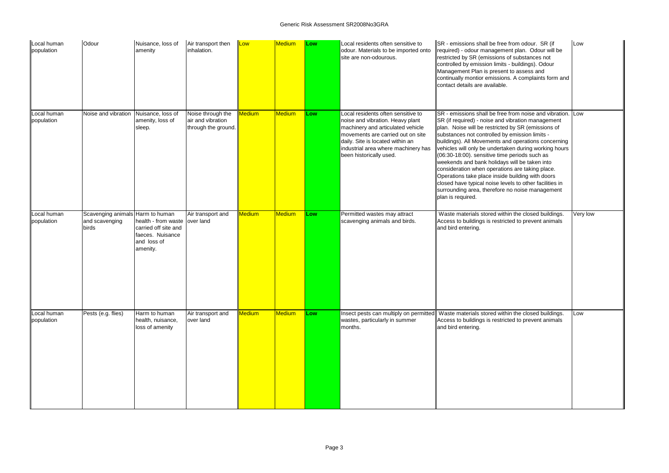| Local human<br>population | Odour                                         | Nuisance, loss of<br>amenity                                                                                | Air transport then<br>inhalation.                             | Low           | <b>Medium</b> | Low | Local residents often sensitive to<br>odour. Materials to be imported onto<br>site are non-odourous.                                                                                                                                                   | SR - emissions shall be free from odour. SR (if<br>required) - odour management plan. Odour will be<br>restricted by SR (emissions of substances not<br>controlled by emission limits - buildings). Odour<br>Management Plan is present to assess and<br>continually montior emissions. A complaints form and<br>contact details are available.                                                                                                                                                                                                                                                                                                                                        | Low      |
|---------------------------|-----------------------------------------------|-------------------------------------------------------------------------------------------------------------|---------------------------------------------------------------|---------------|---------------|-----|--------------------------------------------------------------------------------------------------------------------------------------------------------------------------------------------------------------------------------------------------------|----------------------------------------------------------------------------------------------------------------------------------------------------------------------------------------------------------------------------------------------------------------------------------------------------------------------------------------------------------------------------------------------------------------------------------------------------------------------------------------------------------------------------------------------------------------------------------------------------------------------------------------------------------------------------------------|----------|
| ocal human<br>population  | Noise and vibration                           | Nuisance, loss of<br>amenity, loss of<br>sleep.                                                             | Noise through the<br>air and vibration<br>through the ground. | <b>Medium</b> | Medium        | Low | Local residents often sensitive to<br>noise and vibration. Heavy plant<br>machinery and articulated vehicle<br>movements are carried out on site<br>daily. Site is located within an<br>industrial area where machinery has<br>been historically used. | SR - emissions shall be free from noise and vibration. Low<br>SR (if required) - noise and vibration management<br>plan. Noise will be restricted by SR (emissions of<br>substances not controlled by emission limits -<br>buildings). All Movements and operations concerning<br>vehicles will only be undertaken during working hours<br>$(06:30-18:00)$ . sensitive time periods such as<br>weekends and bank holidays will be taken into<br>consideration when operations are taking place.<br>Operations take place inside building with doors<br>closed have typical noise levels to other facilities in<br>surrounding area, therefore no noise management<br>plan is required. |          |
| ocal human<br>population  | Scavenging animals<br>and scavenging<br>birds | Harm to human<br>health - from waste<br>carried off site and<br>faeces. Nuisance<br>and loss of<br>amenity. | Air transport and<br>over land                                | Medium        | Medium        | Low | Permitted wastes may attract<br>scavenging animals and birds.                                                                                                                                                                                          | Waste materials stored within the closed buildings.<br>Access to buildings is restricted to prevent animals<br>and bird entering.                                                                                                                                                                                                                                                                                                                                                                                                                                                                                                                                                      | Very low |
| ocal human<br>population  | Pests (e.g. flies)                            | Harm to human<br>health, nuisance,<br>loss of amenity                                                       | Air transport and<br>over land                                | <b>Medium</b> | <b>Medium</b> | Low | wastes, particularly in summer<br>months.                                                                                                                                                                                                              | Insect pests can multiply on permitted Waste materials stored within the closed buildings.<br>Access to buildings is restricted to prevent animals<br>and bird entering.                                                                                                                                                                                                                                                                                                                                                                                                                                                                                                               | Low      |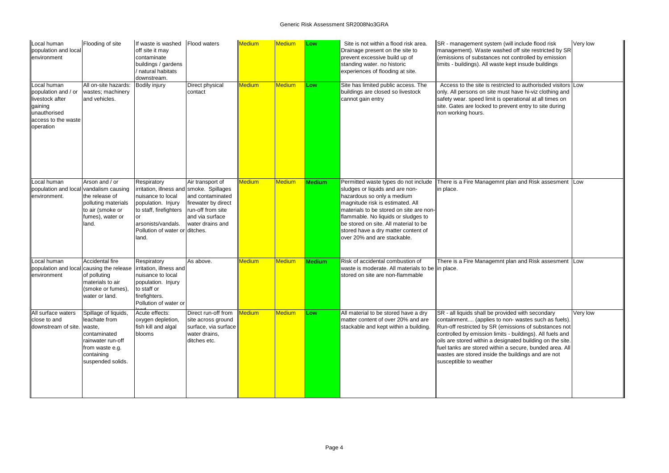| Local human<br>population and local<br>environment                                                                   | Flooding of site                                                                                                                       | If waste is washed<br>off site it may<br>contaminate<br>buildings / gardens<br>/ natural habitats<br>downstream.                                                                              | <b>Flood waters</b>                                                                                                     | Medium        | Medium        | Low           | Site is not within a flood risk area.<br>Drainage present on the site to<br>prevent excessive build up of<br>standing water. no historic<br>experiences of flooding at site.                                                                                                                                                               | <b>SR</b> - management system (will include flood risk<br>management). Waste washed off site restricted by SR<br>(emissions of substances not controlled by emission<br>limits - buildings). All waste kept insude buildings                                                                                                                                                                                                           | Very low |
|----------------------------------------------------------------------------------------------------------------------|----------------------------------------------------------------------------------------------------------------------------------------|-----------------------------------------------------------------------------------------------------------------------------------------------------------------------------------------------|-------------------------------------------------------------------------------------------------------------------------|---------------|---------------|---------------|--------------------------------------------------------------------------------------------------------------------------------------------------------------------------------------------------------------------------------------------------------------------------------------------------------------------------------------------|----------------------------------------------------------------------------------------------------------------------------------------------------------------------------------------------------------------------------------------------------------------------------------------------------------------------------------------------------------------------------------------------------------------------------------------|----------|
| Local human<br>population and / or<br>livestock after<br>gaining<br>unauthorised<br>access to the waste<br>operation | All on-site hazards:<br>wastes; machinery<br>and vehicles.                                                                             | <b>Bodily injury</b>                                                                                                                                                                          | Direct physical<br>contact                                                                                              | Medium        | <b>Medium</b> | Low           | Site has limited public access. The<br>buildings are closed so livestock<br>cannot gain entry                                                                                                                                                                                                                                              | Access to the site is restricted to authorisded visitors Low<br>only. All persons on site must have hi-viz clothing and<br>safety wear. speed limit is operational at all times on<br>site. Gates are locked to prevent entry to site during<br>non working hours.                                                                                                                                                                     |          |
| ocal human<br>population and local vandalism causing<br>environment.                                                 | Arson and / or<br>the release of<br>polluting materials<br>to air (smoke or<br>fumes), water or<br>land.                               | Respiratory<br>irritation, illness and smoke. Spillages<br>nuisance to local<br>population. Injury<br>to staff, firefighters<br>arsonists/vandals.<br>Pollution of water or ditches.<br>land. | Air transport of<br>and contaminated<br>firewater by direct<br>run-off from site<br>and via surface<br>water drains and | Medium        | <b>Medium</b> | <b>Medium</b> | Permitted waste types do not include<br>sludges or liquids and are non-<br>hazardous so only a medium<br>magnitude risk is estimated. All<br>materials to be stored on site are non-<br>flammable. No liquids or sludges to<br>be stored on site. All material to be<br>stored have a dry matter content of<br>over 20% and are stackable. | There is a Fire Managemnt plan and Risk assesment Low<br>in place.                                                                                                                                                                                                                                                                                                                                                                     |          |
| Local human<br>environment                                                                                           | Accidental fire<br>population and local causing the release<br>of polluting<br>materials to air<br>(smoke or fumes),<br>water or land. | Respiratory<br>irritation, illness and<br>nuisance to local<br>population. Injury<br>to staff or<br>firefighters.<br>Pollution of water or                                                    | As above.                                                                                                               | <b>Medium</b> | <b>Medium</b> | <b>Medium</b> | Risk of accidental combustion of<br>waste is moderate. All materials to be lin place.<br>stored on site are non-flammable                                                                                                                                                                                                                  | There is a Fire Managemnt plan and Risk assesment Low                                                                                                                                                                                                                                                                                                                                                                                  |          |
| All surface waters<br>close to and<br>downstream of site. waste,                                                     | Spillage of liquids,<br>leachate from<br>contaminated<br>rainwater run-off<br>from waste e.g.<br>containing<br>suspended solids.       | Acute effects:<br>oxygen depletion,<br>fish kill and algal<br>blooms                                                                                                                          | Direct run-off from<br>site across ground<br>surface, via surface<br>water drains,<br>ditches etc.                      | <b>Medium</b> | Medium        | Low           | All material to be stored have a dry<br>matter content of over 20% and are<br>stackable and kept within a building.                                                                                                                                                                                                                        | SR - all liquids shall be provided with secondary<br>containment (applies to non- wastes such as fuels).<br>Run-off restricted by SR (emissions of substances not<br>controlled by emission limits - buildings). All fuels and<br>oils are stored within a designated building on the site.<br>fuel tanks are stored within a secure, bunded area. All<br>wastes are stored inside the buildings and are not<br>susceptible to weather | Very low |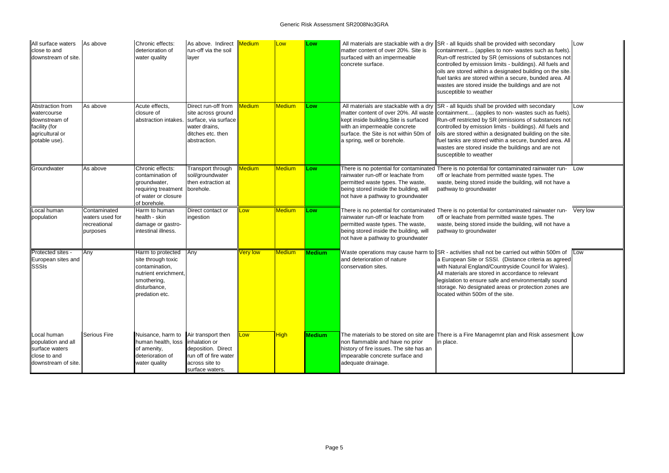| All surface waters<br>close to and<br>downstream of site.                                             | As above                                                    | Chronic effects:<br>deterioration of<br>water quality                                                                              | As above. Indirect Medium<br>run-off via the soil<br>layer                                                              |                 | Low           | Low           | matter content of over 20%. Site is<br>surfaced with an impermeable<br>concrete surface.                                                               | All materials are stackable with a dry $\ \text{SR} \cdot \text{all}$ liquids shall be provided with secondary<br>containment (applies to non- wastes such as fuels).<br>Run-off restricted by SR (emissions of substances not<br>controlled by emission limits - buildings). All fuels and<br>oils are stored within a designated building on the site.<br>fuel tanks are stored within a secure, bunded area. All<br>wastes are stored inside the buildings and are not<br>susceptible to weather                               |
|-------------------------------------------------------------------------------------------------------|-------------------------------------------------------------|------------------------------------------------------------------------------------------------------------------------------------|-------------------------------------------------------------------------------------------------------------------------|-----------------|---------------|---------------|--------------------------------------------------------------------------------------------------------------------------------------------------------|-----------------------------------------------------------------------------------------------------------------------------------------------------------------------------------------------------------------------------------------------------------------------------------------------------------------------------------------------------------------------------------------------------------------------------------------------------------------------------------------------------------------------------------|
| Abstraction from<br>watercourse<br>downstream of<br>facility (for<br>agricultural or<br>potable use). | As above                                                    | Acute effects,<br>closure of<br>abstraction intakes.                                                                               | Direct run-off from<br>site across ground<br>surface, via surface<br>water drains,<br>ditches etc. then<br>abstraction. | Medium          | <b>Medium</b> | <b>ILow</b>   | kept inside building. Site is surfaced<br>with an impermeable concrete<br>surface. the Site is not within 50m of<br>a spring, well or borehole.        | All materials are stackable with a dry $\parallel$ SR - all liquids shall be provided with secondary<br>matter content of over 20%. All waste   containment (applies to non- wastes such as fuels).<br>Run-off restricted by SR (emissions of substances not<br>controlled by emission limits - buildings). All fuels and<br>oils are stored within a designated building on the site.<br>fuel tanks are stored within a secure, bunded area. All<br>wastes are stored inside the buildings and are not<br>susceptible to weather |
| Groundwater                                                                                           | As above                                                    | Chronic effects:<br>contamination of<br>groundwater,<br>requiring treatment<br>of water or closure<br>of borehole.                 | Transport through<br>soil/groundwater<br>then extraction at<br>borehole.                                                | <b>Medium</b>   | <b>Medium</b> | <b>ILow</b>   | rainwater run-off or leachate from<br>permitted waste types. The waste,<br>being stored inside the building, will<br>not have a pathway to groundwater | There is no potential for contaminated There is no potential for contaminated rainwater run-<br>off or leachate from permitted waste types. The<br>waste, being stored inside the building, will not have a<br>pathway to groundwater                                                                                                                                                                                                                                                                                             |
| Local human<br>population                                                                             | Contaminated<br>waters used for<br>recreational<br>purposes | Harm to human<br>health - skin<br>damage or gastro-<br>intestinal illness.                                                         | Direct contact or<br>ingestion                                                                                          | Low             | <b>Medium</b> | Low           | rainwater run-off or leachate from<br>permitted waste types. The waste,<br>being stored inside the building, will<br>not have a pathway to groundwater | There is no potential for contaminated There is no potential for contaminated rainwater run-<br>off or leachate from permitted waste types. The<br>waste, being stored inside the building, will not have a<br>pathway to groundwater                                                                                                                                                                                                                                                                                             |
| Protected sites -<br>European sites and<br><b>SSSIs</b>                                               | Any                                                         | Harm to protected<br>site through toxic<br>contamination,<br>nutrient enrichment,<br>smothering,<br>disturbance,<br>predation etc. | Any                                                                                                                     | <b>Very low</b> | <b>Medium</b> | <b>Medium</b> | and deterioration of nature<br>conservation sites.                                                                                                     | Waste operations may cause harm to $\ $ SR - activities shall not be carried out within 500m of<br>a European Site or SSSI. (Distance criteria as agreed<br>with Natural England/Countryside Council for Wales).<br>All materials are stored in accordance to relevant<br>legislation to ensure safe and environmentally sound<br>storage. No designated areas or protection zones are<br>located within 500m of the site.                                                                                                        |
| Local human<br>population and all<br>surface waters<br>close to and<br>downstream of site.            | <b>Serious Fire</b>                                         | Nuisance, harm to<br>human health, loss<br>of amenity,<br>deterioration of<br>water quality                                        | Air transport then<br>inhalation or<br>deposition. Direct<br>run off of fire water<br>across site to<br>surface waters. | Low             | <b>High</b>   | Medium        | non flammable and have no prior<br>history of fire issues. The site has an<br>impearable concrete surface and<br>adequate drainage.                    | The materials to be stored on site are There is a Fire Managemnt plan and Risk assesment<br>in place.                                                                                                                                                                                                                                                                                                                                                                                                                             |

| ided with secondary<br>on- wastes such as fuels).<br>nissions of substances not<br>s - buildings). All fuels and<br>gnated building on the site.<br>a secure, bunded area. All<br>buildings and are not | Low      |
|---------------------------------------------------------------------------------------------------------------------------------------------------------------------------------------------------------|----------|
| ided with secondary<br>on- wastes such as fuels).<br>nissions of substances not<br>s - buildings). All fuels and<br>gnated building on the site.<br>a secure, bunded area. All<br>buildings and are not | Low      |
| taminated rainwater run-<br>ed waste types. The<br>he building, will not have a                                                                                                                         | Low      |
|                                                                                                                                                                                                         |          |
| taminated rainwater run-<br>ed waste types. The<br>he building, will not have a                                                                                                                         | Very low |
| arried out within 500m of<br>Distance criteria as agreed<br>ryside Council for Wales).<br>ccordance to relevant<br>d environmentally sound<br>as or protection zones are<br>site.                       | Low      |